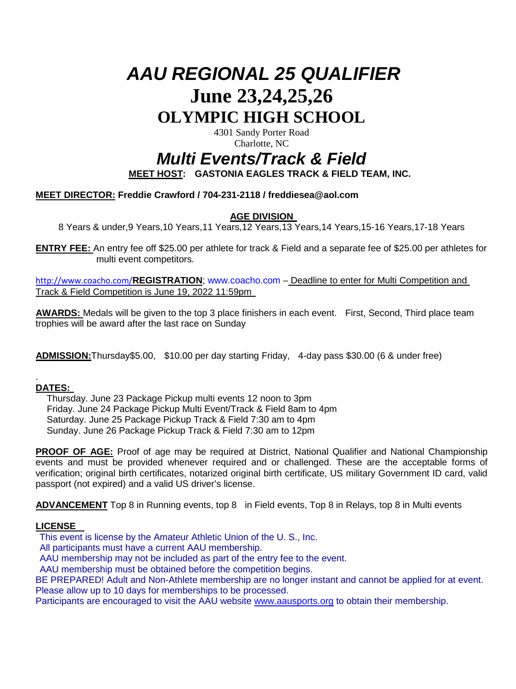# *AAU REGIONAL 25 QUALIFIER* **June 23,24,25,26 OLYMPIC HIGH SCHOOL**

4301 Sandy Porter Road Charlotte, NC

# *Multi Events/Track & Field*

**MEET HOST: GASTONIA EAGLES TRACK & FIELD TEAM, INC.** 

# **MEET DIRECTOR: Freddie Crawford / 704-231-2118 / freddiesea@aol.com**

# **AGE DIVISION**

8 Years & under,9 Years,10 Years,11 Years,12 Years,13 Years,14 Years,15-16 Years,17-18 Years

**ENTRY FEE:**  An entry fee off \$25.00 per athlete for track & Field and a separate fee of \$25.00 per athletes for multi event competitors.

<http://www.coacho.com/>**REGISTRATION**; www.coacho.com – Deadline to enter for Multi Competition and Track & Field Competition is June 19, 2022 11:59pm

**AWARDS:** Medals will be given to the top 3 place finishers in each event. First, Second, Third place team trophies will be award after the last race on Sunday

**ADMISSION:**Thursday\$5.00, \$10.00 per day starting Friday, 4-day pass \$30.00 (6 & under free)

#### . **DATES:**

 Thursday. June 23 Package Pickup multi events 12 noon to 3pm Friday. June 24 Package Pickup Multi Event/Track & Field 8am to 4pm Saturday. June 25 Package Pickup Track & Field 7:30 am to 4pm Sunday. June 26 Package Pickup Track & Field 7:30 am to 12pm

**PROOF OF AGE:** Proof of age may be required at District, National Qualifier and National Championship events and must be provided whenever required and or challenged. These are the acceptable forms of verification; original birth certificates, notarized original birth certificate, US military Government ID card, valid passport (not expired) and a valid US driver's license.

**ADVANCEMENT** Top 8 in Running events, top 8 in Field events, Top 8 in Relays, top 8 in Multi events

# **LICENSE**

This event is license by the Amateur Athletic Union of the U. S., Inc.

All participants must have a current AAU membership.

AAU membership may not be included as part of the entry fee to the event.

AAU membership must be obtained before the competition begins.

BE PREPARED! Adult and Non-Athlete membership are no longer instant and cannot be applied for at event. Please allow up to 10 days for memberships to be processed.

Participants are encouraged to visit the AAU website [www.aausports.org](http://aausports.org/default.asp?a=pg_membership.htm) to obtain their membership.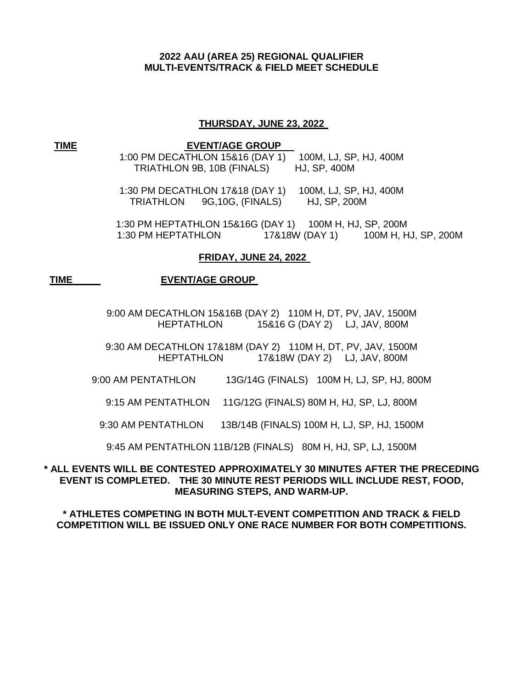# **2022 AAU (AREA 25) REGIONAL QUALIFIER MULTI-EVENTS/TRACK & FIELD MEET SCHEDULE**

#### **THURSDAY, JUNE 23, 2022**

 **TIME** 

#### **EVENT/AGE GROUP**

1:00 PM DECATHLON 15&16 (DAY 1) 100M, LJ, SP, HJ, 400M TRIATHLON 9B, 10B (FINALS) HJ, SP, 400M

1:30 PM DECATHLON 17&18 (DAY 1) 100M, LJ, SP, HJ, 400M TRIATHLON 9G,10G, (FINALS) HJ, SP, 200M

1:30 PM HEPTATHLON 15&16G (DAY 1) 100M H, HJ, SP, 200M 1:30 PM HEPTATHLON 17&18W (DAY 1) 100M H, HJ, SP, 200M

#### **FRIDAY, JUNE 24, 2022**

#### **TIME EVENT/AGE GROUP**

9:00 AM DECATHLON 15&16B (DAY 2) 110M H, DT, PV, JAV, 1500M HEPTATHLON 15&16 G (DAY 2) LJ, JAV, 800M

9:30 AM DECATHLON 17&18M (DAY 2) 110M H, DT, PV, JAV, 1500M HEPTATHLON 17&18W (DAY 2) LJ, JAV, 800M

9:00 AM PENTATHLON 13G/14G (FINALS) 100M H, LJ, SP, HJ, 800M

9:15 AM PENTATHLON 11G/12G (FINALS) 80M H, HJ, SP, LJ, 800M

9:30 AM PENTATHLON 13B/14B (FINALS) 100M H, LJ, SP, HJ, 1500M

9:45 AM PENTATHLON 11B/12B (FINALS) 80M H, HJ, SP, LJ, 1500M

# **\* ALL EVENTS WILL BE CONTESTED APPROXIMATELY 30 MINUTES AFTER THE PRECEDING EVENT IS COMPLETED. THE 30 MINUTE REST PERIODS WILL INCLUDE REST, FOOD, MEASURING STEPS, AND WARM-UP.**

**\* ATHLETES COMPETING IN BOTH MULT-EVENT COMPETITION AND TRACK & FIELD COMPETITION WILL BE ISSUED ONLY ONE RACE NUMBER FOR BOTH COMPETITIONS.**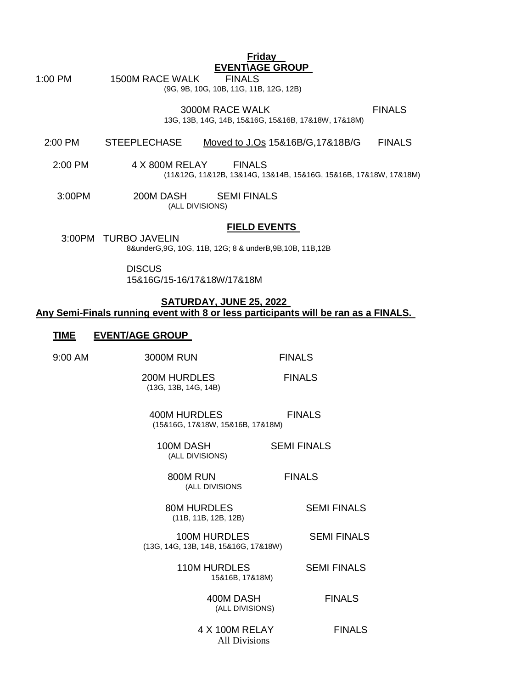**EVENT\AGE GROUP**

**Friday** 

1:00 PM 1500M RACE WALK FINALS

(9G, 9B, 10G, 10B, 11G, 11B, 12G, 12B)

3000M RACE WALK FINALS 13G, 13B, 14G, 14B, 15&16G, 15&16B, 17&18W, 17&18M)

#### 2:00 PM STEEPLECHASE Moved to J.Os 15&16B/G,17&18B/G FINALS

- 2:00 PM 4 X 800M RELAY FINALS (11&12G, 11&12B, 13&14G, 13&14B, 15&16G, 15&16B, 17&18W, 17&18M)
	- 3:00PM 200M DASH SEMI FINALS<br>(ALL DIVISIONS)

#### **FIELD EVENTS**

 3:00PM TURBO JAVELIN 8&underG,9G, 10G, 11B, 12G; 8 & underB,9B,10B, 11B,12B

**DISCUS** 

15&16G/15-16/17&18W/17&18M

### **SATURDAY, JUNE 25, 2022 Any Semi-Finals running event with 8 or less participants will be ran as a FINALS.**

#### **TIME EVENT/AGE GROUP**

| 9:00 AM                      | <b>3000M RUN</b>                                            | <b>FINALS</b>      |
|------------------------------|-------------------------------------------------------------|--------------------|
|                              | 200M HURDLES<br>(13G, 13B, 14G, 14B)                        | <b>FINALS</b>      |
|                              | 400M HURDLES<br>(15&16G, 17&18W, 15&16B, 17&18M)            | <b>FINALS</b>      |
|                              | 100M DASH<br>(ALL DIVISIONS)                                | <b>SEMI FINALS</b> |
|                              | 800M RUN<br>(ALL DIVISIONS                                  | <b>FINALS</b>      |
|                              | 80M HURDLES<br>(11B, 11B, 12B, 12B)                         | <b>SEMI FINALS</b> |
|                              | <b>100M HURDLES</b><br>(13G, 14G, 13B, 14B, 15&16G, 17&18W) | <b>SEMI FINALS</b> |
|                              | <b>110M HURDLES</b><br>15&16B, 17&18M)                      | <b>SEMI FINALS</b> |
| 400M DASH<br>(ALL DIVISIONS) |                                                             | <b>FINALS</b>      |
|                              | 4 X 100M RELAY<br><b>All Divisions</b>                      | <b>FINALS</b>      |
|                              |                                                             |                    |